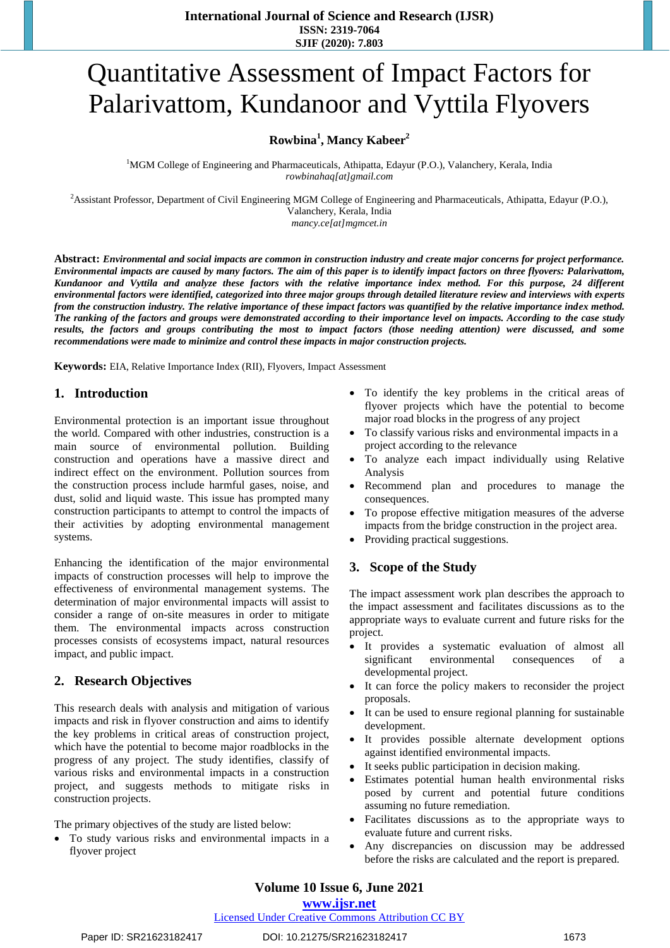# Quantitative Assessment of Impact Factors for Palarivattom, Kundanoor and Vyttila Flyovers

# **Rowbina<sup>1</sup> , Mancy Kabeer<sup>2</sup>**

<sup>1</sup>MGM College of Engineering and Pharmaceuticals, Athipatta, Edayur (P.O.), Valanchery, Kerala, India *rowbinahaq[at]gmail.com*

<sup>2</sup>Assistant Professor, Department of Civil Engineering MGM College of Engineering and Pharmaceuticals, Athipatta, Edayur (P.O.), Valanchery, Kerala, India *mancy.ce[at]mgmcet.in*

**Abstract:** *Environmental and social impacts are common in construction industry and create major concerns for project performance. Environmental impacts are caused by many factors. The aim of this paper is to identify impact factors on three flyovers: Palarivattom, Kundanoor and Vyttila and analyze these factors with the relative importance index method. For this purpose, 24 different environmental factors were identified, categorized into three major groups through detailed literature review and interviews with experts from the construction industry. The relative importance of these impact factors was quantified by the relative importance index method. The ranking of the factors and groups were demonstrated according to their importance level on impacts. According to the case study*  results, the factors and groups contributing the most to impact factors (those needing attention) were discussed, and some *recommendations were made to minimize and control these impacts in major construction projects.*

**Keywords:** EIA, Relative Importance Index (RII), Flyovers, Impact Assessment

# **1. Introduction**

Environmental protection is an important issue throughout the world. Compared with other industries, construction is a main source of environmental pollution. Building construction and operations have a massive direct and indirect effect on the environment. Pollution sources from the construction process include harmful gases, noise, and dust, solid and liquid waste. This issue has prompted many construction participants to attempt to control the impacts of their activities by adopting environmental management systems.

Enhancing the identification of the major environmental impacts of construction processes will help to improve the effectiveness of environmental management systems. The determination of major environmental impacts will assist to consider a range of on-site measures in order to mitigate them. The environmental impacts across construction processes consists of ecosystems impact, natural resources impact, and public impact.

### **2. Research Objectives**

This research deals with analysis and mitigation of various impacts and risk in flyover construction and aims to identify the key problems in critical areas of construction project, which have the potential to become major roadblocks in the progress of any project. The study identifies, classify of various risks and environmental impacts in a construction project, and suggests methods to mitigate risks in construction projects.

The primary objectives of the study are listed below:

 To study various risks and environmental impacts in a flyover project

- To identify the key problems in the critical areas of flyover projects which have the potential to become major road blocks in the progress of any project
- To classify various risks and environmental impacts in a project according to the relevance
- To analyze each impact individually using Relative Analysis
- Recommend plan and procedures to manage the consequences.
- To propose effective mitigation measures of the adverse impacts from the bridge construction in the project area.
- Providing practical suggestions.

### **3. Scope of the Study**

The impact assessment work plan describes the approach to the impact assessment and facilitates discussions as to the appropriate ways to evaluate current and future risks for the project.

- It provides a systematic evaluation of almost all significant environmental consequences of a developmental project.
- It can force the policy makers to reconsider the project proposals.
- It can be used to ensure regional planning for sustainable development.
- It provides possible alternate development options against identified environmental impacts.
- It seeks public participation in decision making.
- Estimates potential human health environmental risks posed by current and potential future conditions assuming no future remediation.
- Facilitates discussions as to the appropriate ways to evaluate future and current risks.
- Any discrepancies on discussion may be addressed before the risks are calculated and the report is prepared.

# **Volume 10 Issue 6, June 2021**

### **www.ijsr.net**

Licensed Under Creative Commons Attribution CC BY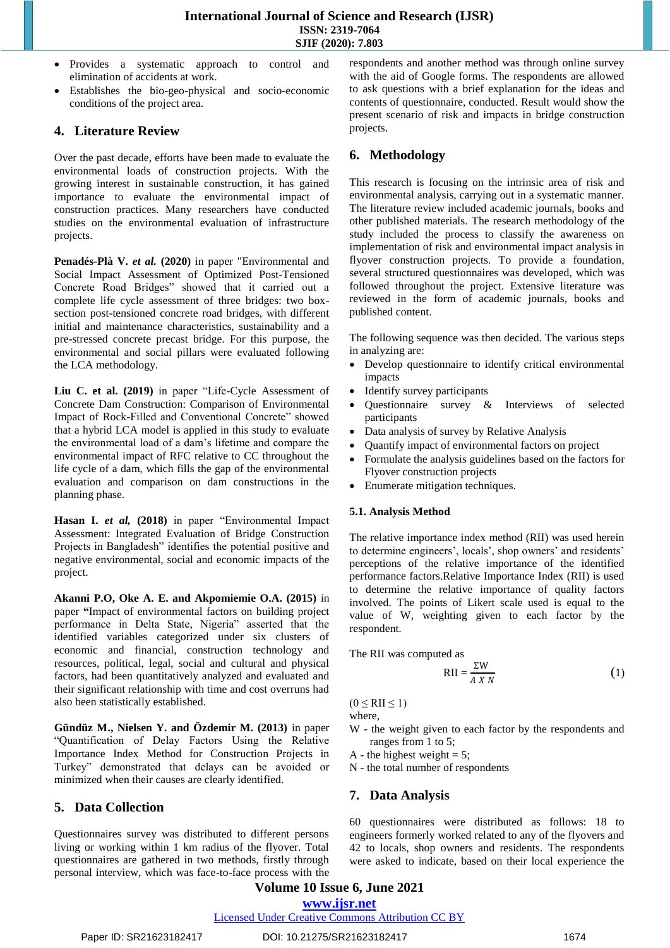- Provides a systematic approach to control and elimination of accidents at work.
- Establishes the bio-geo-physical and socio-economic conditions of the project area.

## **4. Literature Review**

Over the past decade, efforts have been made to evaluate the environmental loads of construction projects. With the growing interest in sustainable construction, it has gained importance to evaluate the environmental impact of construction practices. Many researchers have conducted studies on the environmental evaluation of infrastructure projects.

**Penadés-Plà V.** *et al.* **(2020)** in paper "Environmental and Social Impact Assessment of Optimized Post-Tensioned Concrete Road Bridges" showed that it carried out a complete life cycle assessment of three bridges: two boxsection post-tensioned concrete road bridges, with different initial and maintenance characteristics, sustainability and a pre-stressed concrete precast bridge. For this purpose, the environmental and social pillars were evaluated following the LCA methodology.

**Liu C. et al. (2019)** in paper "Life-Cycle Assessment of Concrete Dam Construction: Comparison of Environmental Impact of Rock-Filled and Conventional Concrete" showed that a hybrid LCA model is applied in this study to evaluate the environmental load of a dam's lifetime and compare the environmental impact of RFC relative to CC throughout the life cycle of a dam, which fills the gap of the environmental evaluation and comparison on dam constructions in the planning phase.

**Hasan I.** *et al,* **(2018)** in paper "Environmental Impact Assessment: Integrated Evaluation of Bridge Construction Projects in Bangladesh" identifies the potential positive and negative environmental, social and economic impacts of the project.

**Akanni P.O, Oke A. E. and Akpomiemie O.A. (2015)** in paper **"**Impact of environmental factors on building project performance in Delta State, Nigeria" asserted that the identified variables categorized under six clusters of economic and financial, construction technology and resources, political, legal, social and cultural and physical factors, had been quantitatively analyzed and evaluated and their significant relationship with time and cost overruns had also been statistically established.

**Gündüz M., Nielsen Y. and Özdemir M. (2013)** in paper "Quantification of Delay Factors Using the Relative Importance Index Method for Construction Projects in Turkey" demonstrated that delays can be avoided or minimized when their causes are clearly identified.

### **5. Data Collection**

Questionnaires survey was distributed to different persons living or working within 1 km radius of the flyover. Total questionnaires are gathered in two methods, firstly through personal interview, which was face-to-face process with the respondents and another method was through online survey with the aid of Google forms. The respondents are allowed to ask questions with a brief explanation for the ideas and contents of questionnaire, conducted. Result would show the present scenario of risk and impacts in bridge construction projects.

# **6. Methodology**

This research is focusing on the intrinsic area of risk and environmental analysis, carrying out in a systematic manner. The literature review included academic journals, books and other published materials. The research methodology of the study included the process to classify the awareness on implementation of risk and environmental impact analysis in flyover construction projects. To provide a foundation, several structured questionnaires was developed, which was followed throughout the project. Extensive literature was reviewed in the form of academic journals, books and published content.

The following sequence was then decided. The various steps in analyzing are:

- Develop questionnaire to identify critical environmental impacts
- Identify survey participants
- Ouestionnaire survey & Interviews of selected participants
- Data analysis of survey by Relative Analysis
- Quantify impact of environmental factors on project
- Formulate the analysis guidelines based on the factors for Flyover construction projects
- Enumerate mitigation techniques.

### **5.1. Analysis Method**

The relative importance index method (RII) was used herein to determine engineers', locals', shop owners' and residents' perceptions of the relative importance of the identified performance factors.Relative Importance Index (RII) is used to determine the relative importance of quality factors involved. The points of Likert scale used is equal to the value of W, weighting given to each factor by the respondent.

The RII was computed as

$$
RII = \frac{\Sigma W}{A X N}
$$
 (1)

 $(0 \leq RII \leq 1)$ 

where,

W - the weight given to each factor by the respondents and ranges from 1 to 5;

A - the highest weight  $= 5$ ;

N - the total number of respondents

# **7. Data Analysis**

60 questionnaires were distributed as follows: 18 to engineers formerly worked related to any of the flyovers and 42 to locals, shop owners and residents. The respondents were asked to indicate, based on their local experience the

# **Volume 10 Issue 6, June 2021**

# **www.ijsr.net**

### Licensed Under Creative Commons Attribution CC BY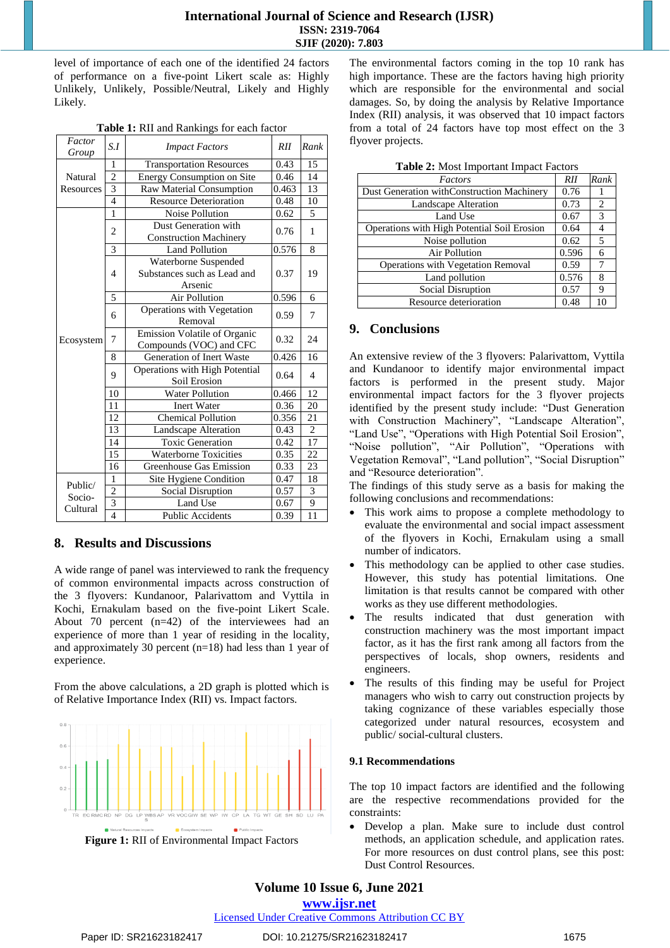level of importance of each one of the identified 24 factors of performance on a five-point Likert scale as: Highly Unlikely, Unlikely, Possible/Neutral, Likely and Highly Likely.

|  | Table 1: RII and Rankings for each factor |  |  |
|--|-------------------------------------------|--|--|
|  |                                           |  |  |

| Factor<br>Group               | S.I                                                                                                                                                                                                                                                                                                                                                                                                                                                                                                                                                                                                                                                                                                                                  | <b>Impact Factors</b>             | RII   | Rank           |
|-------------------------------|--------------------------------------------------------------------------------------------------------------------------------------------------------------------------------------------------------------------------------------------------------------------------------------------------------------------------------------------------------------------------------------------------------------------------------------------------------------------------------------------------------------------------------------------------------------------------------------------------------------------------------------------------------------------------------------------------------------------------------------|-----------------------------------|-------|----------------|
| Natural<br>Resources          | 1                                                                                                                                                                                                                                                                                                                                                                                                                                                                                                                                                                                                                                                                                                                                    | <b>Transportation Resources</b>   | 0.43  | 15             |
|                               | $\overline{2}$                                                                                                                                                                                                                                                                                                                                                                                                                                                                                                                                                                                                                                                                                                                       | <b>Energy Consumption on Site</b> | 0.46  | 14             |
|                               |                                                                                                                                                                                                                                                                                                                                                                                                                                                                                                                                                                                                                                                                                                                                      | Raw Material Consumption          | 0.463 | 13             |
|                               | $\overline{4}$                                                                                                                                                                                                                                                                                                                                                                                                                                                                                                                                                                                                                                                                                                                       | <b>Resource Deterioration</b>     | 0.48  | 10             |
|                               | $\overline{3}$<br>1<br><b>Noise Pollution</b><br>Dust Generation with<br>$\overline{c}$<br><b>Construction Machinery</b><br>3<br><b>Land Pollution</b><br>Waterborne Suspended<br>Substances such as Lead and<br>4<br>Arsenic<br>5<br><b>Air Pollution</b><br>Operations with Vegetation<br>6<br>Removal<br>Emission Volatile of Organic<br>7<br>Compounds (VOC) and CFC<br>Generation of Inert Waste<br>8<br>Operations with High Potential<br>9<br>Soil Erosion<br>10<br><b>Water Pollution</b><br>11<br><b>Inert Water</b><br>Chemical Pollution<br>12<br>13<br>Landscape Alteration<br><b>Toxic Generation</b><br>14<br>$\overline{15}$<br>Waterborne Toxicities<br>16<br>Greenhouse Gas Emission<br>1<br>Site Hygiene Condition | 0.62                              | 5     |                |
|                               |                                                                                                                                                                                                                                                                                                                                                                                                                                                                                                                                                                                                                                                                                                                                      |                                   | 0.76  | 1              |
|                               |                                                                                                                                                                                                                                                                                                                                                                                                                                                                                                                                                                                                                                                                                                                                      |                                   | 0.576 | 8              |
| Ecosystem                     |                                                                                                                                                                                                                                                                                                                                                                                                                                                                                                                                                                                                                                                                                                                                      |                                   | 0.37  | 19             |
|                               |                                                                                                                                                                                                                                                                                                                                                                                                                                                                                                                                                                                                                                                                                                                                      |                                   | 0.596 | 6              |
|                               |                                                                                                                                                                                                                                                                                                                                                                                                                                                                                                                                                                                                                                                                                                                                      |                                   | 0.59  | 7              |
|                               |                                                                                                                                                                                                                                                                                                                                                                                                                                                                                                                                                                                                                                                                                                                                      |                                   | 0.32  | 24             |
|                               |                                                                                                                                                                                                                                                                                                                                                                                                                                                                                                                                                                                                                                                                                                                                      |                                   | 0.426 | 16             |
|                               |                                                                                                                                                                                                                                                                                                                                                                                                                                                                                                                                                                                                                                                                                                                                      |                                   | 0.64  | $\overline{4}$ |
|                               |                                                                                                                                                                                                                                                                                                                                                                                                                                                                                                                                                                                                                                                                                                                                      |                                   | 0.466 | 12             |
|                               |                                                                                                                                                                                                                                                                                                                                                                                                                                                                                                                                                                                                                                                                                                                                      |                                   | 0.36  | 20             |
|                               |                                                                                                                                                                                                                                                                                                                                                                                                                                                                                                                                                                                                                                                                                                                                      |                                   | 0.356 | 21             |
|                               |                                                                                                                                                                                                                                                                                                                                                                                                                                                                                                                                                                                                                                                                                                                                      |                                   | 0.43  | $\overline{2}$ |
|                               |                                                                                                                                                                                                                                                                                                                                                                                                                                                                                                                                                                                                                                                                                                                                      |                                   | 0.42  | 17             |
|                               |                                                                                                                                                                                                                                                                                                                                                                                                                                                                                                                                                                                                                                                                                                                                      |                                   | 0.35  | 22             |
|                               |                                                                                                                                                                                                                                                                                                                                                                                                                                                                                                                                                                                                                                                                                                                                      |                                   | 0.33  | 23             |
| Public/<br>Socio-<br>Cultural |                                                                                                                                                                                                                                                                                                                                                                                                                                                                                                                                                                                                                                                                                                                                      |                                   | 0.47  | 18             |
|                               | $\overline{2}$                                                                                                                                                                                                                                                                                                                                                                                                                                                                                                                                                                                                                                                                                                                       | <b>Social Disruption</b>          | 0.57  | 3              |
|                               | $\frac{3}{4}$                                                                                                                                                                                                                                                                                                                                                                                                                                                                                                                                                                                                                                                                                                                        | Land Use                          | 0.67  | 9              |
|                               |                                                                                                                                                                                                                                                                                                                                                                                                                                                                                                                                                                                                                                                                                                                                      | <b>Public Accidents</b>           | 0.39  | 11             |

### **8. Results and Discussions**

A wide range of panel was interviewed to rank the frequency of common environmental impacts across construction of the 3 flyovers: Kundanoor, Palarivattom and Vyttila in Kochi, Ernakulam based on the five-point Likert Scale. About 70 percent (n=42) of the interviewees had an experience of more than 1 year of residing in the locality, and approximately 30 percent (n=18) had less than 1 year of experience.

From the above calculations, a 2D graph is plotted which is of Relative Importance Index (RII) vs. Impact factors.



**Figure 1:** RII of Environmental Impact Factors

The environmental factors coming in the top 10 rank has high importance. These are the factors having high priority which are responsible for the environmental and social damages. So, by doing the analysis by Relative Importance Index (RII) analysis, it was observed that 10 impact factors from a total of 24 factors have top most effect on the 3 flyover projects.

| $\frac{1}{2}$ and $\frac{1}{2}$ are $\frac{1}{2}$ and $\frac{1}{2}$ are $\frac{1}{2}$ and $\frac{1}{2}$ are $\frac{1}{2}$ are $\frac{1}{2}$ and $\frac{1}{2}$ are $\frac{1}{2}$ are $\frac{1}{2}$ are $\frac{1}{2}$ are $\frac{1}{2}$ are $\frac{1}{2}$ are $\frac{1}{2}$ are $\frac{1}{2}$ a |       |      |  |  |  |
|-----------------------------------------------------------------------------------------------------------------------------------------------------------------------------------------------------------------------------------------------------------------------------------------------|-------|------|--|--|--|
| Factors                                                                                                                                                                                                                                                                                       | RII   | Rank |  |  |  |
| Dust Generation withConstruction Machinery                                                                                                                                                                                                                                                    | 0.76  |      |  |  |  |
| Landscape Alteration                                                                                                                                                                                                                                                                          | 0.73  | 2    |  |  |  |
| Land Use                                                                                                                                                                                                                                                                                      | 0.67  | 3    |  |  |  |
| Operations with High Potential Soil Erosion                                                                                                                                                                                                                                                   | 0.64  | 4    |  |  |  |
| Noise pollution                                                                                                                                                                                                                                                                               | 0.62  | 5    |  |  |  |
| <b>Air Pollution</b>                                                                                                                                                                                                                                                                          | 0.596 | 6    |  |  |  |
| Operations with Vegetation Removal                                                                                                                                                                                                                                                            | 0.59  | 7    |  |  |  |
| Land pollution                                                                                                                                                                                                                                                                                | 0.576 | 8    |  |  |  |
| Social Disruption                                                                                                                                                                                                                                                                             | 0.57  | 9    |  |  |  |
| Resource deterioration                                                                                                                                                                                                                                                                        | 0.48  | 10   |  |  |  |

#### **Table 2:** Most Important Impact Factors

## **9. Conclusions**

An extensive review of the 3 flyovers: Palarivattom, Vyttila and Kundanoor to identify major environmental impact factors is performed in the present study. Major environmental impact factors for the 3 flyover projects identified by the present study include: "Dust Generation with Construction Machinery", "Landscape Alteration", "Land Use", "Operations with High Potential Soil Erosion", "Noise pollution", "Air Pollution", "Operations with Vegetation Removal", "Land pollution", "Social Disruption" and "Resource deterioration".

The findings of this study serve as a basis for making the following conclusions and recommendations:

- This work aims to propose a complete methodology to evaluate the environmental and social impact assessment of the flyovers in Kochi, Ernakulam using a small number of indicators.
- This methodology can be applied to other case studies. However, this study has potential limitations. One limitation is that results cannot be compared with other works as they use different methodologies.
- The results indicated that dust generation with construction machinery was the most important impact factor, as it has the first rank among all factors from the perspectives of locals, shop owners, residents and engineers.
- The results of this finding may be useful for Project managers who wish to carry out construction projects by taking cognizance of these variables especially those categorized under natural resources, ecosystem and public/ social-cultural clusters.

#### **9.1 Recommendations**

The top 10 impact factors are identified and the following are the respective recommendations provided for the constraints:

 Develop a plan. Make sure to include dust control methods, an application schedule, and application rates. For more resources on dust control plans, see this post: Dust Control Resources.

# **Volume 10 Issue 6, June 2021**

**www.ijsr.net**

Licensed Under Creative Commons Attribution CC BY